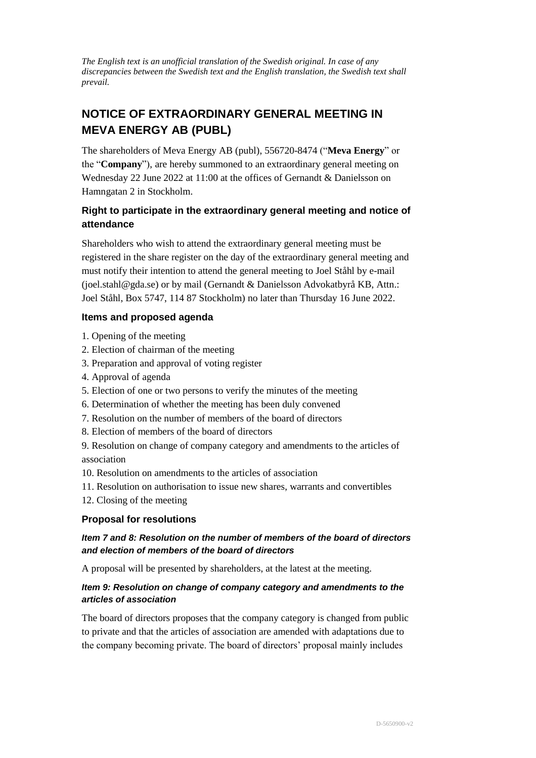*The English text is an unofficial translation of the Swedish original. In case of any discrepancies between the Swedish text and the English translation, the Swedish text shall prevail.*

# **NOTICE OF EXTRAORDINARY GENERAL MEETING IN MEVA ENERGY AB (PUBL)**

The shareholders of Meva Energy AB (publ), 556720-8474 ("**Meva Energy**" or the "**Company**"), are hereby summoned to an extraordinary general meeting on Wednesday 22 June 2022 at 11:00 at the offices of Gernandt & Danielsson on Hamngatan 2 in Stockholm.

# **Right to participate in the extraordinary general meeting and notice of attendance**

Shareholders who wish to attend the extraordinary general meeting must be registered in the share register on the day of the extraordinary general meeting and must notify their intention to attend the general meeting to Joel Ståhl by e-mail (joel.stahl@gda.se) or by mail (Gernandt & Danielsson Advokatbyrå KB, Attn.: Joel Ståhl, Box 5747, 114 87 Stockholm) no later than Thursday 16 June 2022.

# **Items and proposed agenda**

- 1. Opening of the meeting
- 2. Election of chairman of the meeting
- 3. Preparation and approval of voting register
- 4. Approval of agenda
- 5. Election of one or two persons to verify the minutes of the meeting
- 6. Determination of whether the meeting has been duly convened
- 7. Resolution on the number of members of the board of directors
- 8. Election of members of the board of directors

9. Resolution on change of company category and amendments to the articles of association

- 10. Resolution on amendments to the articles of association
- 11. Resolution on authorisation to issue new shares, warrants and convertibles
- 12. Closing of the meeting

# **Proposal for resolutions**

# *Item 7 and 8: Resolution on the number of members of the board of directors and election of members of the board of directors*

A proposal will be presented by shareholders, at the latest at the meeting.

# *Item 9: Resolution on change of company category and amendments to the articles of association*

The board of directors proposes that the company category is changed from public to private and that the articles of association are amended with adaptations due to the company becoming private. The board of directors' proposal mainly includes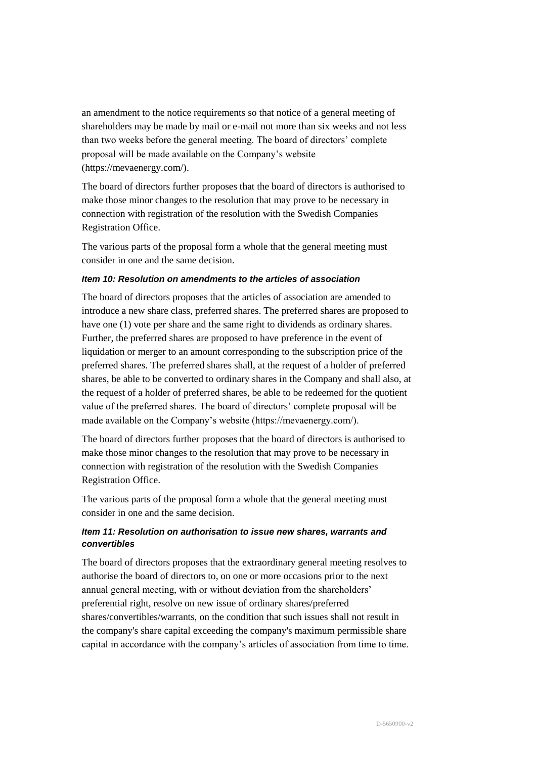an amendment to the notice requirements so that notice of a general meeting of shareholders may be made by mail or e-mail not more than six weeks and not less than two weeks before the general meeting. The board of directors' complete proposal will be made available on the Company's website (https://mevaenergy.com/).

The board of directors further proposes that the board of directors is authorised to make those minor changes to the resolution that may prove to be necessary in connection with registration of the resolution with the Swedish Companies Registration Office.

The various parts of the proposal form a whole that the general meeting must consider in one and the same decision.

#### *Item 10: Resolution on amendments to the articles of association*

The board of directors proposes that the articles of association are amended to introduce a new share class, preferred shares. The preferred shares are proposed to have one (1) vote per share and the same right to dividends as ordinary shares. Further, the preferred shares are proposed to have preference in the event of liquidation or merger to an amount corresponding to the subscription price of the preferred shares. The preferred shares shall, at the request of a holder of preferred shares, be able to be converted to ordinary shares in the Company and shall also, at the request of a holder of preferred shares, be able to be redeemed for the quotient value of the preferred shares. The board of directors' complete proposal will be made available on the Company's website (https://mevaenergy.com/).

The board of directors further proposes that the board of directors is authorised to make those minor changes to the resolution that may prove to be necessary in connection with registration of the resolution with the Swedish Companies Registration Office.

The various parts of the proposal form a whole that the general meeting must consider in one and the same decision.

# *Item 11: Resolution on authorisation to issue new shares, warrants and convertibles*

The board of directors proposes that the extraordinary general meeting resolves to authorise the board of directors to, on one or more occasions prior to the next annual general meeting, with or without deviation from the shareholders' preferential right, resolve on new issue of ordinary shares/preferred shares/convertibles/warrants, on the condition that such issues shall not result in the company's share capital exceeding the company's maximum permissible share capital in accordance with the company's articles of association from time to time.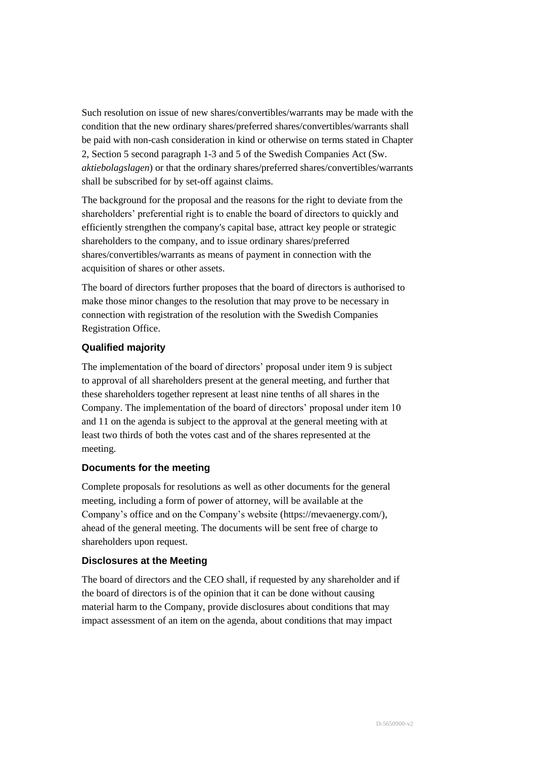Such resolution on issue of new shares/convertibles/warrants may be made with the condition that the new ordinary shares/preferred shares/convertibles/warrants shall be paid with non-cash consideration in kind or otherwise on terms stated in Chapter 2, Section 5 second paragraph 1-3 and 5 of the Swedish Companies Act (Sw. *aktiebolagslagen*) or that the ordinary shares/preferred shares/convertibles/warrants shall be subscribed for by set-off against claims.

The background for the proposal and the reasons for the right to deviate from the shareholders' preferential right is to enable the board of directors to quickly and efficiently strengthen the company's capital base, attract key people or strategic shareholders to the company, and to issue ordinary shares/preferred shares/convertibles/warrants as means of payment in connection with the acquisition of shares or other assets.

The board of directors further proposes that the board of directors is authorised to make those minor changes to the resolution that may prove to be necessary in connection with registration of the resolution with the Swedish Companies Registration Office.

# **Qualified majority**

The implementation of the board of directors' proposal under item 9 is subject to approval of all shareholders present at the general meeting, and further that these shareholders together represent at least nine tenths of all shares in the Company. The implementation of the board of directors' proposal under item 10 and 11 on the agenda is subject to the approval at the general meeting with at least two thirds of both the votes cast and of the shares represented at the meeting.

# **Documents for the meeting**

Complete proposals for resolutions as well as other documents for the general meeting, including a form of power of attorney, will be available at the Company's office and on the Company's website (https://mevaenergy.com/), ahead of the general meeting. The documents will be sent free of charge to shareholders upon request.

# **Disclosures at the Meeting**

The board of directors and the CEO shall, if requested by any shareholder and if the board of directors is of the opinion that it can be done without causing material harm to the Company, provide disclosures about conditions that may impact assessment of an item on the agenda, about conditions that may impact